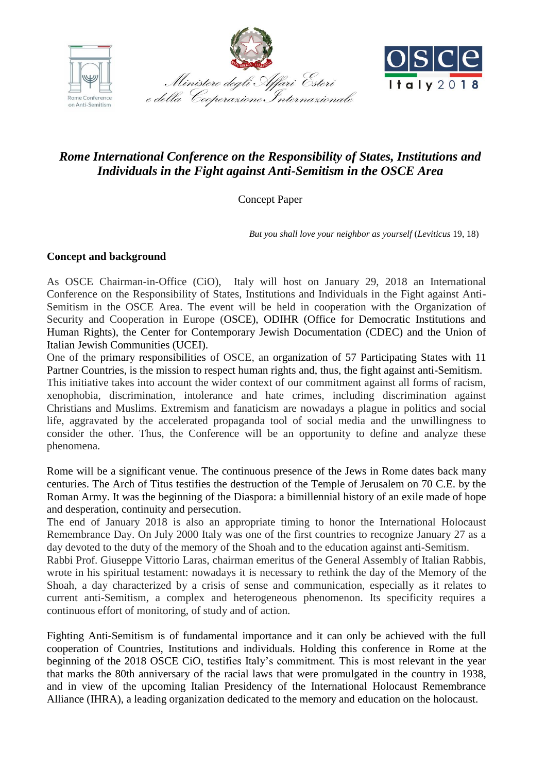





# *Rome International Conference on the Responsibility of States, Institutions and Individuals in the Fight against Anti-Semitism in the OSCE Area*

Concept Paper

 *But you shall love your neighbor as yourself* (*Leviticus* 19, 18)

# **Concept and background**

As OSCE Chairman-in-Office (CiO), Italy will host on January 29, 2018 an International Conference on the Responsibility of States, Institutions and Individuals in the Fight against Anti-Semitism in the OSCE Area. The event will be held in cooperation with the Organization of Security and Cooperation in Europe (OSCE), ODIHR (Office for Democratic Institutions and Human Rights), the Center for Contemporary Jewish Documentation (CDEC) and the Union of Italian Jewish Communities (UCEI).

One of the primary responsibilities of OSCE, an organization of 57 Participating States with 11 Partner Countries, is the mission to respect human rights and, thus, the fight against anti-Semitism.

This initiative takes into account the wider context of our commitment against all forms of racism, xenophobia, discrimination, intolerance and hate crimes, including discrimination against Christians and Muslims. Extremism and fanaticism are nowadays a plague in politics and social life, aggravated by the accelerated propaganda tool of social media and the unwillingness to consider the other. Thus, the Conference will be an opportunity to define and analyze these phenomena.

Rome will be a significant venue. The continuous presence of the Jews in Rome dates back many centuries. The Arch of Titus testifies the destruction of the Temple of Jerusalem on 70 C.E. by the Roman Army. It was the beginning of the Diaspora: a bimillennial history of an exile made of hope and desperation, continuity and persecution.

The end of January 2018 is also an appropriate timing to honor the International Holocaust Remembrance Day. On July 2000 Italy was one of the first countries to recognize January 27 as a day devoted to the duty of the memory of the Shoah and to the education against anti-Semitism.

Rabbi Prof. Giuseppe Vittorio Laras, chairman emeritus of the General Assembly of Italian Rabbis, wrote in his spiritual testament: nowadays it is necessary to rethink the day of the Memory of the Shoah, a day characterized by a crisis of sense and communication, especially as it relates to current anti-Semitism, a complex and heterogeneous phenomenon. Its specificity requires a continuous effort of monitoring, of study and of action.

Fighting Anti-Semitism is of fundamental importance and it can only be achieved with the full cooperation of Countries, Institutions and individuals. Holding this conference in Rome at the beginning of the 2018 OSCE CiO, testifies Italy's commitment. This is most relevant in the year that marks the 80th anniversary of the racial laws that were promulgated in the country in 1938, and in view of the upcoming Italian Presidency of the International Holocaust Remembrance Alliance (IHRA), a leading organization dedicated to the memory and education on the holocaust.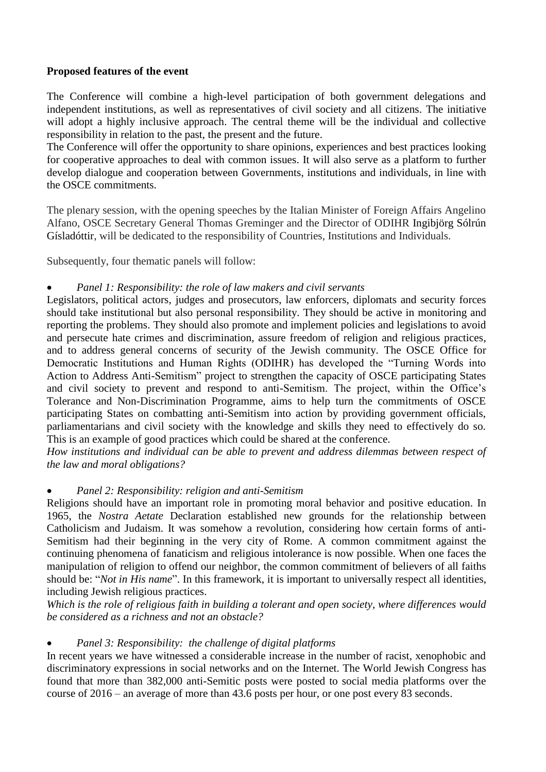# **Proposed features of the event**

The Conference will combine a high-level participation of both government delegations and independent institutions, as well as representatives of civil society and all citizens. The initiative will adopt a highly inclusive approach. The central theme will be the individual and collective responsibility in relation to the past, the present and the future.

The Conference will offer the opportunity to share opinions, experiences and best practices looking for cooperative approaches to deal with common issues. It will also serve as a platform to further develop dialogue and cooperation between Governments, institutions and individuals, in line with the OSCE commitments.

The plenary session, with the opening speeches by the Italian Minister of Foreign Affairs Angelino Alfano, OSCE Secretary General Thomas Greminger and the Director of ODIHR Ingibjörg Sólrún Gísladóttir, will be dedicated to the responsibility of Countries, Institutions and Individuals.

Subsequently, four thematic panels will follow:

# *Panel 1: Responsibility: the role of law makers and civil servants*

Legislators, political actors, judges and prosecutors, law enforcers, diplomats and security forces should take institutional but also personal responsibility. They should be active in monitoring and reporting the problems. They should also promote and implement policies and legislations to avoid and persecute hate crimes and discrimination, assure freedom of religion and religious practices, and to address general concerns of security of the Jewish community. The OSCE Office for Democratic Institutions and Human Rights (ODIHR) has developed the "Turning Words into Action to Address Anti-Semitism" project to strengthen the capacity of OSCE participating States and civil society to prevent and respond to anti-Semitism. The project, within the Office's Tolerance and Non-Discrimination Programme, aims to help turn the commitments of OSCE participating States on combatting anti-Semitism into action by providing government officials, parliamentarians and civil society with the knowledge and skills they need to effectively do so. This is an example of good practices which could be shared at the conference.

*How institutions and individual can be able to prevent and address dilemmas between respect of the law and moral obligations?*

#### *Panel 2: Responsibility: religion and anti-Semitism*

Religions should have an important role in promoting moral behavior and positive education. In 1965, the *Nostra Aetate* Declaration established new grounds for the relationship between Catholicism and Judaism. It was somehow a revolution, considering how certain forms of anti-Semitism had their beginning in the very city of Rome. A common commitment against the continuing phenomena of fanaticism and religious intolerance is now possible. When one faces the manipulation of religion to offend our neighbor, the common commitment of believers of all faiths should be: "*Not in His name*". In this framework, it is important to universally respect all identities, including Jewish religious practices.

*Which is the role of religious faith in building a tolerant and open society, where differences would be considered as a richness and not an obstacle?*

#### *Panel 3: Responsibility: the challenge of digital platforms*

In recent years we have witnessed a considerable increase in the number of racist, xenophobic and discriminatory expressions in social networks and on the Internet. The World Jewish Congress has found that more than 382,000 anti-Semitic posts were posted to social media platforms over the course of 2016 – an average of more than 43.6 posts per hour, or one post every 83 seconds.